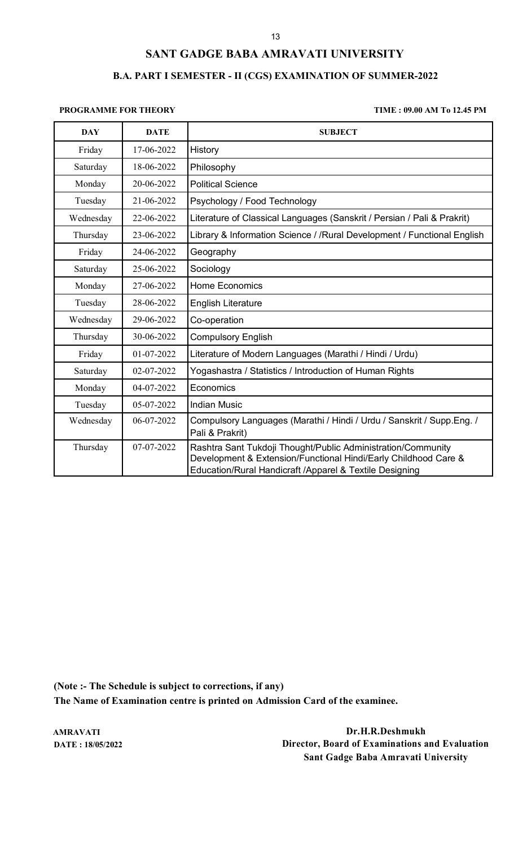## **B.A. PART I SEMESTER - II (CGS) EXAMINATION OF SUMMER-2022**

## **PROGRAMME FOR THEORY TIME : 09.00 AM To 12.45 PM**

| <b>DAY</b> | <b>DATE</b> | <b>SUBJECT</b>                                                                                                                                                                             |
|------------|-------------|--------------------------------------------------------------------------------------------------------------------------------------------------------------------------------------------|
| Friday     | 17-06-2022  | History                                                                                                                                                                                    |
| Saturday   | 18-06-2022  | Philosophy                                                                                                                                                                                 |
| Monday     | 20-06-2022  | <b>Political Science</b>                                                                                                                                                                   |
| Tuesday    | 21-06-2022  | Psychology / Food Technology                                                                                                                                                               |
| Wednesday  | 22-06-2022  | Literature of Classical Languages (Sanskrit / Persian / Pali & Prakrit)                                                                                                                    |
| Thursday   | 23-06-2022  | Library & Information Science / / Rural Development / Functional English                                                                                                                   |
| Friday     | 24-06-2022  | Geography                                                                                                                                                                                  |
| Saturday   | 25-06-2022  | Sociology                                                                                                                                                                                  |
| Monday     | 27-06-2022  | <b>Home Economics</b>                                                                                                                                                                      |
| Tuesday    | 28-06-2022  | <b>English Literature</b>                                                                                                                                                                  |
| Wednesday  | 29-06-2022  | Co-operation                                                                                                                                                                               |
| Thursday   | 30-06-2022  | <b>Compulsory English</b>                                                                                                                                                                  |
| Friday     | 01-07-2022  | Literature of Modern Languages (Marathi / Hindi / Urdu)                                                                                                                                    |
| Saturday   | 02-07-2022  | Yogashastra / Statistics / Introduction of Human Rights                                                                                                                                    |
| Monday     | 04-07-2022  | Economics                                                                                                                                                                                  |
| Tuesday    | 05-07-2022  | <b>Indian Music</b>                                                                                                                                                                        |
| Wednesday  | 06-07-2022  | Compulsory Languages (Marathi / Hindi / Urdu / Sanskrit / Supp.Eng. /<br>Pali & Prakrit)                                                                                                   |
| Thursday   | 07-07-2022  | Rashtra Sant Tukdoji Thought/Public Administration/Community<br>Development & Extension/Functional Hindi/Early Childhood Care &<br>Education/Rural Handicraft /Apparel & Textile Designing |

**(Note :- The Schedule is subject to corrections, if any) The Name of Examination centre is printed on Admission Card of the examinee.**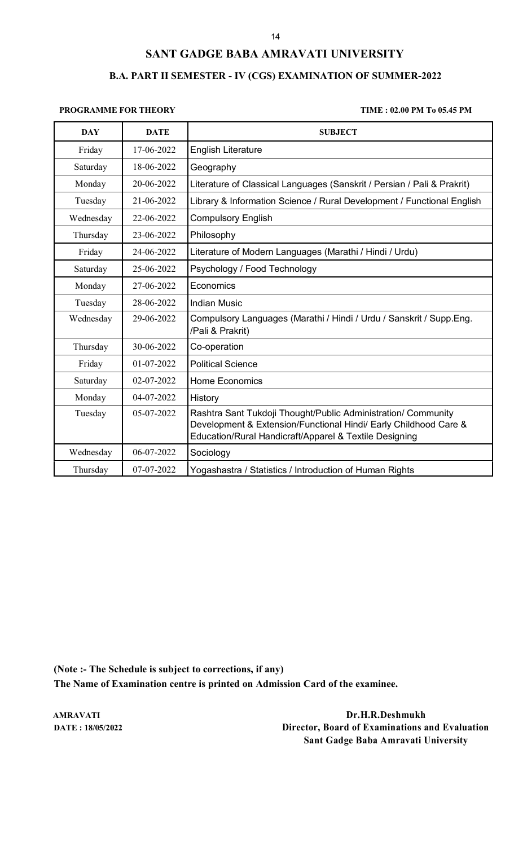## **B.A. PART II SEMESTER - IV (CGS) EXAMINATION OF SUMMER-2022**

## **PROGRAMME FOR THEORY TIME : 02.00 PM To 05.45 PM**

| <b>DAY</b> | <b>DATE</b> | <b>SUBJECT</b>                                                                                                                                                                              |
|------------|-------------|---------------------------------------------------------------------------------------------------------------------------------------------------------------------------------------------|
| Friday     | 17-06-2022  | <b>English Literature</b>                                                                                                                                                                   |
| Saturday   | 18-06-2022  | Geography                                                                                                                                                                                   |
| Monday     | 20-06-2022  | Literature of Classical Languages (Sanskrit / Persian / Pali & Prakrit)                                                                                                                     |
| Tuesday    | 21-06-2022  | Library & Information Science / Rural Development / Functional English                                                                                                                      |
| Wednesday  | 22-06-2022  | <b>Compulsory English</b>                                                                                                                                                                   |
| Thursday   | 23-06-2022  | Philosophy                                                                                                                                                                                  |
| Friday     | 24-06-2022  | Literature of Modern Languages (Marathi / Hindi / Urdu)                                                                                                                                     |
| Saturday   | 25-06-2022  | Psychology / Food Technology                                                                                                                                                                |
| Monday     | 27-06-2022  | Economics                                                                                                                                                                                   |
| Tuesday    | 28-06-2022  | <b>Indian Music</b>                                                                                                                                                                         |
| Wednesday  | 29-06-2022  | Compulsory Languages (Marathi / Hindi / Urdu / Sanskrit / Supp.Eng.<br>/Pali & Prakrit)                                                                                                     |
| Thursday   | 30-06-2022  | Co-operation                                                                                                                                                                                |
| Friday     | 01-07-2022  | <b>Political Science</b>                                                                                                                                                                    |
| Saturday   | 02-07-2022  | <b>Home Economics</b>                                                                                                                                                                       |
| Monday     | 04-07-2022  | History                                                                                                                                                                                     |
| Tuesday    | 05-07-2022  | Rashtra Sant Tukdoji Thought/Public Administration/ Community<br>Development & Extension/Functional Hindi/ Early Childhood Care &<br>Education/Rural Handicraft/Apparel & Textile Designing |
| Wednesday  | 06-07-2022  | Sociology                                                                                                                                                                                   |
| Thursday   | 07-07-2022  | Yogashastra / Statistics / Introduction of Human Rights                                                                                                                                     |

**(Note :- The Schedule is subject to corrections, if any) The Name of Examination centre is printed on Admission Card of the examinee.**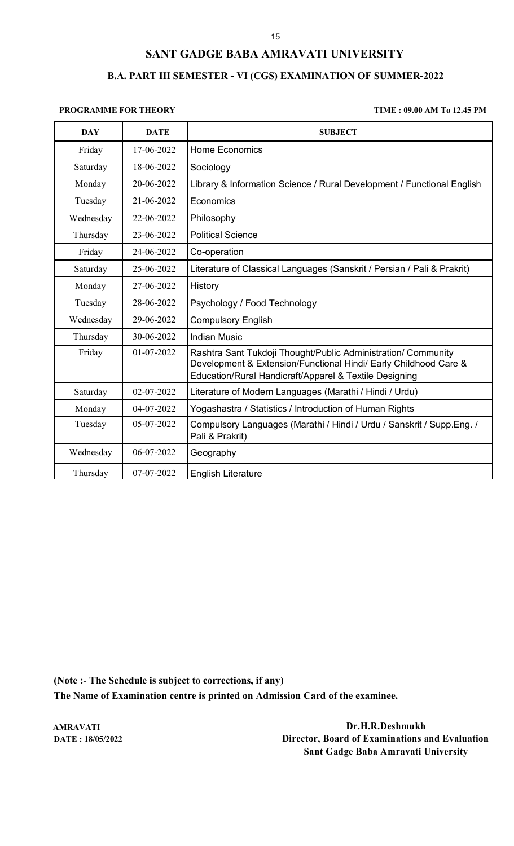## **B.A. PART III SEMESTER - VI (CGS) EXAMINATION OF SUMMER-2022**

## **PROGRAMME FOR THEORY TIME : 09.00 AM To 12.45 PM**

| <b>DAY</b> | <b>DATE</b> | <b>SUBJECT</b>                                                                                                                                                                              |
|------------|-------------|---------------------------------------------------------------------------------------------------------------------------------------------------------------------------------------------|
| Friday     | 17-06-2022  | <b>Home Economics</b>                                                                                                                                                                       |
| Saturday   | 18-06-2022  | Sociology                                                                                                                                                                                   |
| Monday     | 20-06-2022  | Library & Information Science / Rural Development / Functional English                                                                                                                      |
| Tuesday    | 21-06-2022  | Economics                                                                                                                                                                                   |
| Wednesday  | 22-06-2022  | Philosophy                                                                                                                                                                                  |
| Thursday   | 23-06-2022  | <b>Political Science</b>                                                                                                                                                                    |
| Friday     | 24-06-2022  | Co-operation                                                                                                                                                                                |
| Saturday   | 25-06-2022  | Literature of Classical Languages (Sanskrit / Persian / Pali & Prakrit)                                                                                                                     |
| Monday     | 27-06-2022  | History                                                                                                                                                                                     |
| Tuesday    | 28-06-2022  | Psychology / Food Technology                                                                                                                                                                |
| Wednesday  | 29-06-2022  | <b>Compulsory English</b>                                                                                                                                                                   |
| Thursday   | 30-06-2022  | <b>Indian Music</b>                                                                                                                                                                         |
| Friday     | 01-07-2022  | Rashtra Sant Tukdoji Thought/Public Administration/ Community<br>Development & Extension/Functional Hindi/ Early Childhood Care &<br>Education/Rural Handicraft/Apparel & Textile Designing |
| Saturday   | 02-07-2022  | Literature of Modern Languages (Marathi / Hindi / Urdu)                                                                                                                                     |
| Monday     | 04-07-2022  | Yogashastra / Statistics / Introduction of Human Rights                                                                                                                                     |
| Tuesday    | 05-07-2022  | Compulsory Languages (Marathi / Hindi / Urdu / Sanskrit / Supp.Eng. /<br>Pali & Prakrit)                                                                                                    |
| Wednesday  | 06-07-2022  | Geography                                                                                                                                                                                   |
| Thursday   | 07-07-2022  | <b>English Literature</b>                                                                                                                                                                   |

**(Note :- The Schedule is subject to corrections, if any)**

**The Name of Examination centre is printed on Admission Card of the examinee.**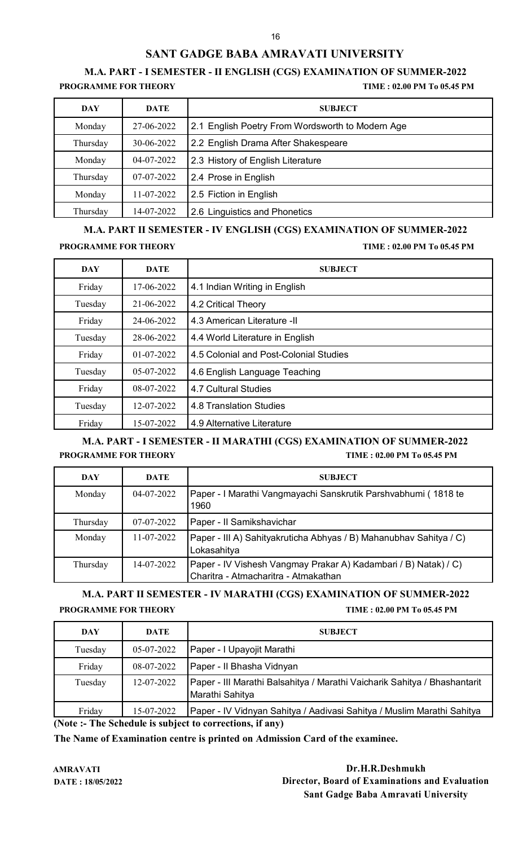## **M.A. PART - I SEMESTER - II ENGLISH (CGS) EXAMINATION OF SUMMER-2022**

**PROGRAMME FOR THEORY TIME : 02.00 PM To 05.45 PM**

| <b>DAY</b> | <b>DATE</b> | <b>SUBJECT</b>                                   |
|------------|-------------|--------------------------------------------------|
| Monday     | 27-06-2022  | 2.1 English Poetry From Wordsworth to Modern Age |
| Thursday   | 30-06-2022  | 2.2 English Drama After Shakespeare              |
| Monday     | 04-07-2022  | 2.3 History of English Literature                |
| Thursday   | 07-07-2022  | 2.4 Prose in English                             |
| Monday     | 11-07-2022  | 2.5 Fiction in English                           |
| Thursday   | 14-07-2022  | 2.6 Linguistics and Phonetics                    |

**M.A. PART II SEMESTER - IV ENGLISH (CGS) EXAMINATION OF SUMMER-2022**

**PROGRAMME FOR THEORY TIME : 02.00 PM To 05.45 PM**

| <b>DAY</b> | <b>DATE</b>  | <b>SUBJECT</b>                         |
|------------|--------------|----------------------------------------|
| Friday     | 17-06-2022   | 4.1 Indian Writing in English          |
| Tuesday    | 21-06-2022   | 4.2 Critical Theory                    |
| Friday     | 24-06-2022   | 4.3 American Literature -II            |
| Tuesday    | 28-06-2022   | 4.4 World Literature in English        |
| Friday     | $01-07-2022$ | 4.5 Colonial and Post-Colonial Studies |
| Tuesday    | 05-07-2022   | 4.6 English Language Teaching          |
| Friday     | 08-07-2022   | 4.7 Cultural Studies                   |
| Tuesday    | 12-07-2022   | 4.8 Translation Studies                |
| Friday     | 15-07-2022   | 4.9 Alternative Literature             |

**M.A. PART - I SEMESTER - II MARATHI (CGS) EXAMINATION OF SUMMER-2022 PROGRAMME FOR THEORY TIME : 02.00 PM To 05.45 PM**

| DAY      | <b>DATE</b> | <b>SUBJECT</b>                                                                                          |
|----------|-------------|---------------------------------------------------------------------------------------------------------|
| Monday   | 04-07-2022  | Paper - I Marathi Vangmayachi Sanskrutik Parshvabhumi (1818 te<br>1960                                  |
| Thursday | 07-07-2022  | Paper - II Samikshavichar                                                                               |
| Monday   | 11-07-2022  | Paper - III A) Sahityakruticha Abhyas / B) Mahanubhav Sahitya / C)<br>Lokasahitya                       |
| Thursday | 14-07-2022  | Paper - IV Vishesh Vangmay Prakar A) Kadambari / B) Natak) / C)<br>Charitra - Atmacharitra - Atmakathan |

**M.A. PART II SEMESTER - IV MARATHI (CGS) EXAMINATION OF SUMMER-2022 PROGRAMME FOR THEORY TIME : 02.00 PM To 05.45 PM**

| <b>DAY</b> | DATE       | <b>SUBJECT</b>                                                                               |
|------------|------------|----------------------------------------------------------------------------------------------|
| Tuesday    | 05-07-2022 | Paper - I Upayojit Marathi                                                                   |
| Friday     | 08-07-2022 | Paper - Il Bhasha Vidnyan                                                                    |
| Tuesday    | 12-07-2022 | Paper - III Marathi Balsahitya / Marathi Vaicharik Sahitya / Bhashantarit<br>Marathi Sahitya |
| Friday     | 15-07-2022 | Paper - IV Vidnyan Sahitya / Aadivasi Sahitya / Muslim Marathi Sahitya                       |

**(Note :- The Schedule is subject to corrections, if any)**

**The Name of Examination centre is printed on Admission Card of the examinee.**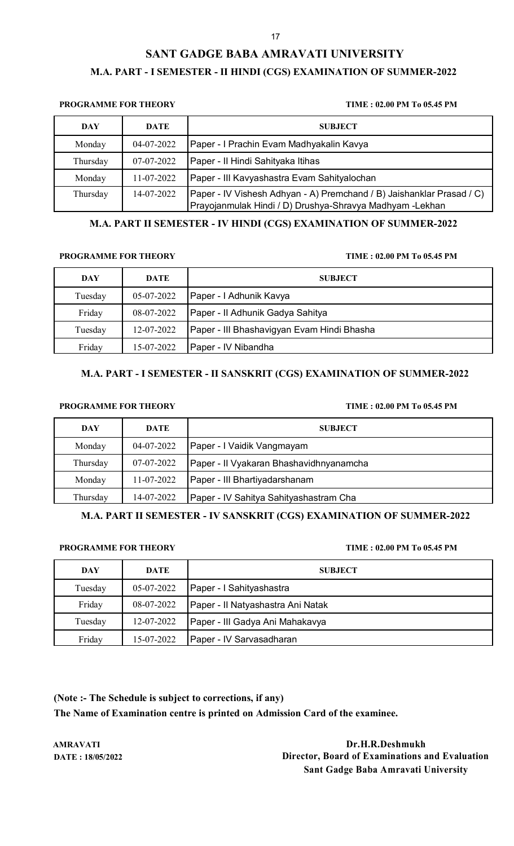# **SANT GADGE BABA AMRAVATI UNIVERSITY M.A. PART - I SEMESTER - II HINDI (CGS) EXAMINATION OF SUMMER-2022**

# **PROGRAMME FOR THEORY TIME : 02.00 PM To 05.45 PM**

| DAY      | <b>DATE</b> | <b>SUBJECT</b>                                                                                                                     |
|----------|-------------|------------------------------------------------------------------------------------------------------------------------------------|
| Monday   | 04-07-2022  | Paper - I Prachin Evam Madhyakalin Kavya                                                                                           |
| Thursday | 07-07-2022  | Paper - Il Hindi Sahityaka Itihas                                                                                                  |
| Monday   | 11-07-2022  | Paper - III Kavyashastra Evam Sahityalochan                                                                                        |
| Thursday | 14-07-2022  | [Paper - IV Vishesh Adhyan - A) Premchand / B) Jaishanklar Prasad / C)<br>Prayojanmulak Hindi / D) Drushya-Shravya Madhyam -Lekhan |

## **M.A. PART II SEMESTER - IV HINDI (CGS) EXAMINATION OF SUMMER-2022**

### **PROGRAMME FOR THEORY TIME : 02.00 PM To 05.45 PM**

| DAY     | DATE       | <b>SUBJECT</b>                             |
|---------|------------|--------------------------------------------|
| Tuesday | 05-07-2022 | Paper - I Adhunik Kavya                    |
| Friday  | 08-07-2022 | Paper - Il Adhunik Gadya Sahitya           |
| Tuesday | 12-07-2022 | Paper - III Bhashavigyan Evam Hindi Bhasha |
| Friday  | 15-07-2022 | Paper - IV Nibandha                        |

## **M.A. PART - I SEMESTER - II SANSKRIT (CGS) EXAMINATION OF SUMMER-2022**

### **PROGRAMME FOR THEORY TIME : 02.00 PM To 05.45 PM**

| <b>DAY</b> | DATE       | <b>SUBJECT</b>                          |
|------------|------------|-----------------------------------------|
| Monday     | 04-07-2022 | Paper - I Vaidik Vangmayam              |
| Thursday   | 07-07-2022 | Paper - II Vyakaran Bhashavidhnyanamcha |
| Monday     | 11-07-2022 | Paper - III Bhartiyadarshanam           |
| Thursday   | 14-07-2022 | Paper - IV Sahitya Sahityashastram Cha  |

**M.A. PART II SEMESTER - IV SANSKRIT (CGS) EXAMINATION OF SUMMER-2022**

### **PROGRAMME FOR THEORY TIME : 02.00 PM To 05.45 PM**

| DAY     | <b>DATE</b> | <b>SUBJECT</b>                    |
|---------|-------------|-----------------------------------|
| Tuesday | 05-07-2022  | Paper - I Sahityashastra          |
| Friday  | 08-07-2022  | Paper - Il Natyashastra Ani Natak |
| Tuesday | 12-07-2022  | Paper - III Gadya Ani Mahakavya   |
| Friday  | 15-07-2022  | Paper - IV Sarvasadharan          |

**(Note :- The Schedule is subject to corrections, if any)**

**The Name of Examination centre is printed on Admission Card of the examinee.**

**AMRAVATI Dr.H.R.Deshmukh DATE : 18/05/2022 Director, Board of Examinations and Evaluation Sant Gadge Baba Amravati University**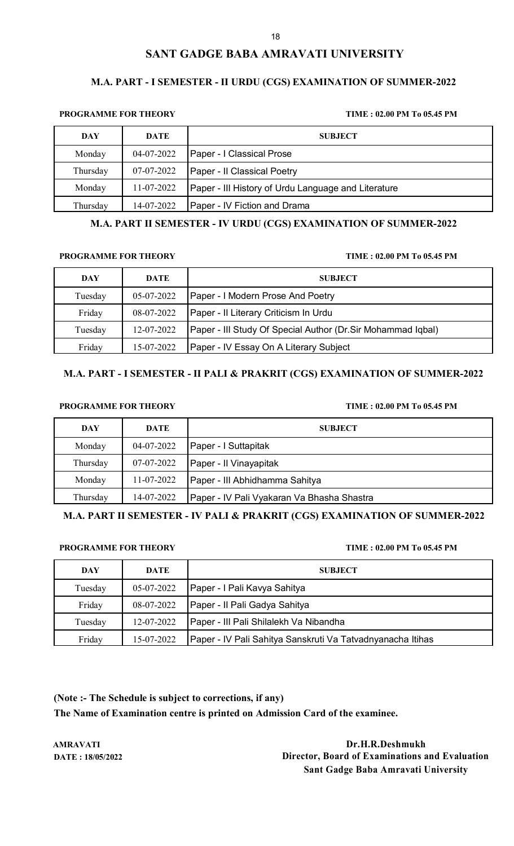### **M.A. PART - I SEMESTER - II URDU (CGS) EXAMINATION OF SUMMER-2022**

### **PROGRAMME FOR THEORY TIME : 02.00 PM To 05.45 PM**

| DAY      | <b>DATE</b>      | <b>SUBJECT</b>                                      |
|----------|------------------|-----------------------------------------------------|
| Monday   | 04-07-2022       | <b>Paper - I Classical Prose</b>                    |
| Thursday | 07-07-2022       | Paper - Il Classical Poetry                         |
| Monday   | $11 - 07 - 2022$ | Paper - III History of Urdu Language and Literature |
| Thursday | 14-07-2022       | Paper - IV Fiction and Drama                        |

### **M.A. PART II SEMESTER - IV URDU (CGS) EXAMINATION OF SUMMER-2022**

### **PROGRAMME FOR THEORY TIME : 02.00 PM To 05.45 PM**

| DAY     | DATE       | <b>SUBJECT</b>                                               |
|---------|------------|--------------------------------------------------------------|
| Tuesday | 05-07-2022 | Paper - I Modern Prose And Poetry                            |
| Friday  | 08-07-2022 | Paper - Il Literary Criticism In Urdu                        |
| Tuesday | 12-07-2022 | Paper - III Study Of Special Author (Dr. Sir Mohammad Iqbal) |
| Friday  | 15-07-2022 | Paper - IV Essay On A Literary Subject                       |

## **M.A. PART - I SEMESTER - II PALI & PRAKRIT (CGS) EXAMINATION OF SUMMER-2022**

### **PROGRAMME FOR THEORY TIME : 02.00 PM To 05.45 PM**

| <b>DAY</b> | DATE       | <b>SUBJECT</b>                             |
|------------|------------|--------------------------------------------|
| Monday     | 04-07-2022 | Paper - I Suttapitak                       |
| Thursday   | 07-07-2022 | Paper - Il Vinayapitak                     |
| Monday     | 11-07-2022 | Paper - III Abhidhamma Sahitya             |
| Thursday   | 14-07-2022 | Paper - IV Pali Vyakaran Va Bhasha Shastra |

**M.A. PART II SEMESTER - IV PALI & PRAKRIT (CGS) EXAMINATION OF SUMMER-2022**

### **PROGRAMME FOR THEORY TIME : 02.00 PM To 05.45 PM**

| DAY     | <b>DATE</b> | <b>SUBJECT</b>                                             |
|---------|-------------|------------------------------------------------------------|
| Tuesday | 05-07-2022  | Paper - I Pali Kavya Sahitya                               |
| Friday  | 08-07-2022  | Paper - Il Pali Gadya Sahitya                              |
| Tuesday | 12-07-2022  | Paper - III Pali Shilalekh Va Nibandha                     |
| Friday  | 15-07-2022  | Paper - IV Pali Sahitya Sanskruti Va Tatvadnyanacha Itihas |

**(Note :- The Schedule is subject to corrections, if any) The Name of Examination centre is printed on Admission Card of the examinee.**

**AMRAVATI Dr.H.R.Deshmukh DATE : 18/05/2022 Director, Board of Examinations and Evaluation Sant Gadge Baba Amravati University**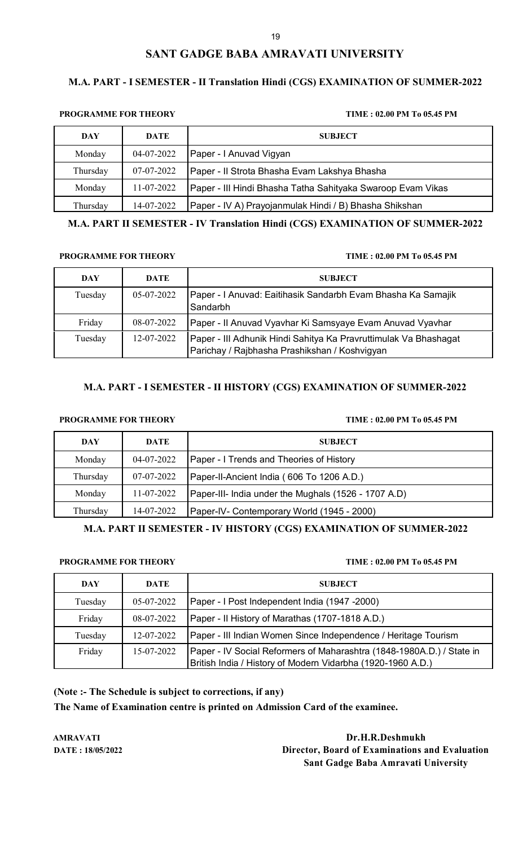### **M.A. PART - I SEMESTER - II Translation Hindi (CGS) EXAMINATION OF SUMMER-2022**

### **PROGRAMME FOR THEORY TIME : 02.00 PM To 05.45 PM**

| <b>DAY</b> | DATE       | <b>SUBJECT</b>                                              |
|------------|------------|-------------------------------------------------------------|
| Monday     | 04-07-2022 | Paper - I Anuvad Vigyan                                     |
| Thursday   | 07-07-2022 | Paper - Il Strota Bhasha Evam Lakshya Bhasha                |
| Monday     | 11-07-2022 | Paper - III Hindi Bhasha Tatha Sahityaka Swaroop Evam Vikas |
| Thursday   | 14-07-2022 | Paper - IV A) Prayojanmulak Hindi / B) Bhasha Shikshan      |

**M.A. PART II SEMESTER - IV Translation Hindi (CGS) EXAMINATION OF SUMMER-2022**

### **PROGRAMME FOR THEORY TIME : 02.00 PM To 05.45 PM**

| DAY     | DATE       | <b>SUBJECT</b>                                                                                                    |
|---------|------------|-------------------------------------------------------------------------------------------------------------------|
| Tuesday | 05-07-2022 | Paper - I Anuvad: Eaitihasik Sandarbh Evam Bhasha Ka Samajik<br>Sandarbh                                          |
| Friday  | 08-07-2022 | Paper - Il Anuvad Vyavhar Ki Samsyaye Evam Anuvad Vyavhar                                                         |
| Tuesday | 12-07-2022 | Paper - III Adhunik Hindi Sahitya Ka Pravruttimulak Va Bhashagat<br>Parichay / Rajbhasha Prashikshan / Koshvigyan |

## **M.A. PART - I SEMESTER - II HISTORY (CGS) EXAMINATION OF SUMMER-2022**

## **PROGRAMME FOR THEORY TIME : 02.00 PM To 05.45 PM**

| DAY      | DATE       | <b>SUBJECT</b>                                       |
|----------|------------|------------------------------------------------------|
| Monday   | 04-07-2022 | Paper - I Trends and Theories of History             |
| Thursday | 07-07-2022 | Paper-II-Ancient India (606 To 1206 A.D.)            |
| Monday   | 11-07-2022 | Paper-III- India under the Mughals (1526 - 1707 A.D) |
| Thursday | 14-07-2022 | Paper-IV- Contemporary World (1945 - 2000)           |

### **M.A. PART II SEMESTER - IV HISTORY (CGS) EXAMINATION OF SUMMER-2022**

### **PROGRAMME FOR THEORY TIME : 02.00 PM To 05.45 PM**

| DAY     | <b>DATE</b> | <b>SUBJECT</b>                                                                                                                       |
|---------|-------------|--------------------------------------------------------------------------------------------------------------------------------------|
| Tuesday | 05-07-2022  | Paper - I Post Independent India (1947 -2000)                                                                                        |
| Friday  | 08-07-2022  | Paper - Il History of Marathas (1707-1818 A.D.)                                                                                      |
| Tuesday | 12-07-2022  | Paper - III Indian Women Since Independence / Heritage Tourism                                                                       |
| Friday  | 15-07-2022  | Paper - IV Social Reformers of Maharashtra (1848-1980A.D.) / State in<br>British India / History of Modern Vidarbha (1920-1960 A.D.) |

**(Note :- The Schedule is subject to corrections, if any)**

**The Name of Examination centre is printed on Admission Card of the examinee.**

**AMRAVATI Dr.H.R.Deshmukh DATE : 18/05/2022 Director, Board of Examinations and Evaluation Sant Gadge Baba Amravati University**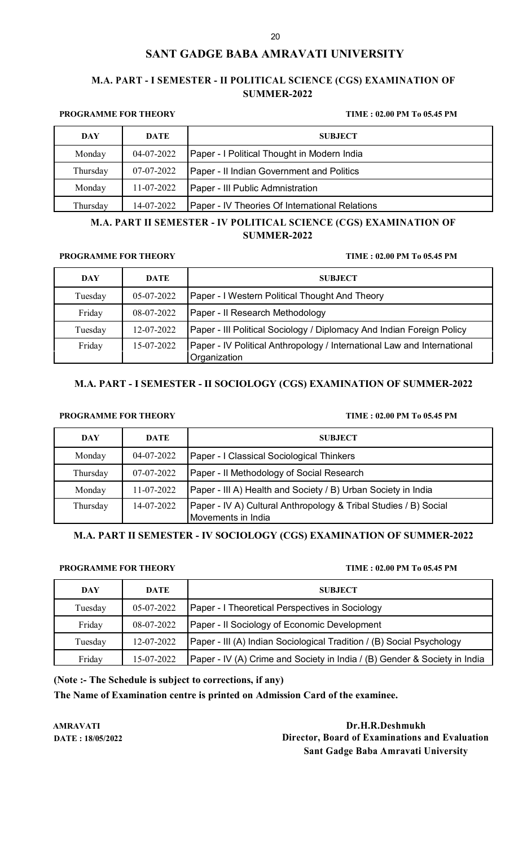## **M.A. PART - I SEMESTER - II POLITICAL SCIENCE (CGS) EXAMINATION OF SUMMER-2022**

### **PROGRAMME FOR THEORY TIME : 02.00 PM To 05.45 PM**

| DAY      | DATE       | <b>SUBJECT</b>                                 |
|----------|------------|------------------------------------------------|
| Monday   | 04-07-2022 | Paper - I Political Thought in Modern India    |
| Thursday | 07-07-2022 | Paper - II Indian Government and Politics      |
| Monday   | 11-07-2022 | Paper - III Public Admnistration               |
| Thursday | 14-07-2022 | Paper - IV Theories Of International Relations |

## **M.A. PART II SEMESTER - IV POLITICAL SCIENCE (CGS) EXAMINATION OF SUMMER-2022**

### **PROGRAMME FOR THEORY TIME : 02.00 PM To 05.45 PM**

| DAY     | <b>DATE</b> | <b>SUBJECT</b>                                                                          |
|---------|-------------|-----------------------------------------------------------------------------------------|
| Tuesday | 05-07-2022  | Paper - I Western Political Thought And Theory                                          |
| Friday  | 08-07-2022  | Paper - Il Research Methodology                                                         |
| Tuesday | 12-07-2022  | Paper - III Political Sociology / Diplomacy And Indian Foreign Policy                   |
| Friday  | 15-07-2022  | Paper - IV Political Anthropology / International Law and International<br>Organization |

## **M.A. PART - I SEMESTER - II SOCIOLOGY (CGS) EXAMINATION OF SUMMER-2022**

## **PROGRAMME FOR THEORY TIME : 02.00 PM To 05.45 PM**

| DAY      | DATE       | <b>SUBJECT</b>                                                                         |
|----------|------------|----------------------------------------------------------------------------------------|
| Monday   | 04-07-2022 | Paper - I Classical Sociological Thinkers                                              |
| Thursday | 07-07-2022 | Paper - Il Methodology of Social Research                                              |
| Monday   | 11-07-2022 | Paper - III A) Health and Society / B) Urban Society in India                          |
| Thursday | 14-07-2022 | Paper - IV A) Cultural Anthropology & Tribal Studies / B) Social<br>Movements in India |

**M.A. PART II SEMESTER - IV SOCIOLOGY (CGS) EXAMINATION OF SUMMER-2022**

## **PROGRAMME FOR THEORY TIME : 02.00 PM To 05.45 PM**

| <b>DAY</b> | <b>DATE</b> | <b>SUBJECT</b>                                                            |
|------------|-------------|---------------------------------------------------------------------------|
| Tuesday    | 05-07-2022  | Paper - I Theoretical Perspectives in Sociology                           |
| Friday     | 08-07-2022  | Paper - Il Sociology of Economic Development                              |
| Tuesday    | 12-07-2022  | Paper - III (A) Indian Sociological Tradition / (B) Social Psychology     |
| Friday     | 15-07-2022  | Paper - IV (A) Crime and Society in India / (B) Gender & Society in India |

**(Note :- The Schedule is subject to corrections, if any)**

**The Name of Examination centre is printed on Admission Card of the examinee.**

**AMRAVATI Dr.H.R.Deshmukh DATE : 18/05/2022 Director, Board of Examinations and Evaluation Sant Gadge Baba Amravati University**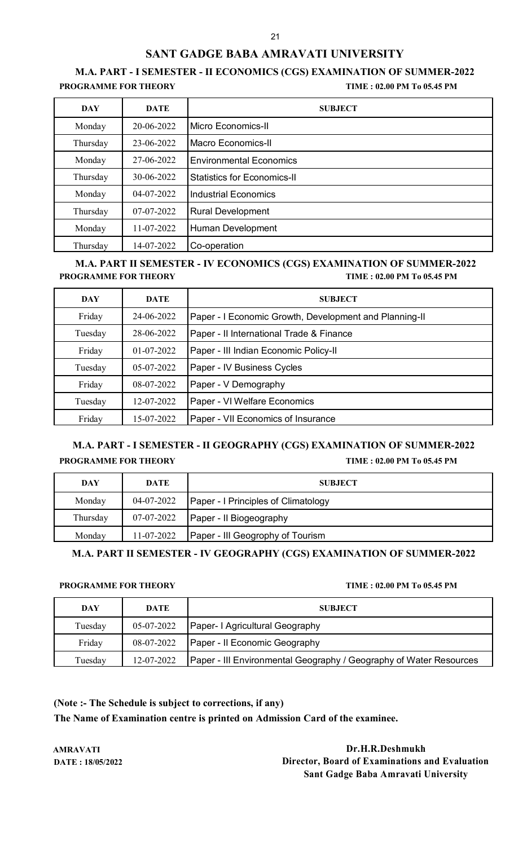# **M.A. PART - I SEMESTER - II ECONOMICS (CGS) EXAMINATION OF SUMMER-2022**

**PROGRAMME FOR THEORY TIME : 02.00 PM To 05.45 PM**

| <b>DAY</b> | <b>DATE</b> | <b>SUBJECT</b>                     |
|------------|-------------|------------------------------------|
| Monday     | 20-06-2022  | Micro Economics-II                 |
| Thursday   | 23-06-2022  | Macro Economics-II                 |
| Monday     | 27-06-2022  | <b>Environmental Economics</b>     |
| Thursday   | 30-06-2022  | <b>Statistics for Economics-II</b> |
| Monday     | 04-07-2022  | <b>Industrial Economics</b>        |
| Thursday   | 07-07-2022  | <b>Rural Development</b>           |
| Monday     | 11-07-2022  | Human Development                  |
| Thursday   | 14-07-2022  | Co-operation                       |

## **M.A. PART II SEMESTER - IV ECONOMICS (CGS) EXAMINATION OF SUMMER-2022 PROGRAMME FOR THEORY TIME : 02.00 PM To 05.45 PM**

| <b>DAY</b> | <b>DATE</b> | <b>SUBJECT</b>                                         |
|------------|-------------|--------------------------------------------------------|
| Friday     | 24-06-2022  | Paper - I Economic Growth, Development and Planning-II |
| Tuesday    | 28-06-2022  | Paper - Il International Trade & Finance               |
| Friday     | 01-07-2022  | Paper - III Indian Economic Policy-II                  |
| Tuesday    | 05-07-2022  | Paper - IV Business Cycles                             |
| Friday     | 08-07-2022  | Paper - V Demography                                   |
| Tuesday    | 12-07-2022  | Paper - VI Welfare Economics                           |
| Friday     | 15-07-2022  | Paper - VII Economics of Insurance                     |

## **M.A. PART - I SEMESTER - II GEOGRAPHY (CGS) EXAMINATION OF SUMMER-2022 PROGRAMME FOR THEORY TIME : 02.00 PM To 05.45 PM**

| DAY      | DATE       | <b>SUBJECT</b>                             |
|----------|------------|--------------------------------------------|
| Monday   | 04-07-2022 | <b>Paper - I Principles of Climatology</b> |
| Thursday | 07-07-2022 | Paper - Il Biogeography                    |
| Monday   | 11-07-2022 | Paper - III Geogrophy of Tourism           |

**M.A. PART II SEMESTER - IV GEOGRAPHY (CGS) EXAMINATION OF SUMMER-2022**

### **PROGRAMME FOR THEORY TIME : 02.00 PM To 05.45 PM**

| <b>DAY</b> | DATE       | <b>SUBJECT</b>                                                     |
|------------|------------|--------------------------------------------------------------------|
| Tuesday    | 05-07-2022 | Paper- I Agricultural Geography                                    |
| Friday     | 08-07-2022 | Paper - Il Economic Geography                                      |
| Tuesday    | 12-07-2022 | Paper - III Environmental Geography / Geography of Water Resources |

**(Note :- The Schedule is subject to corrections, if any)**

**The Name of Examination centre is printed on Admission Card of the examinee.**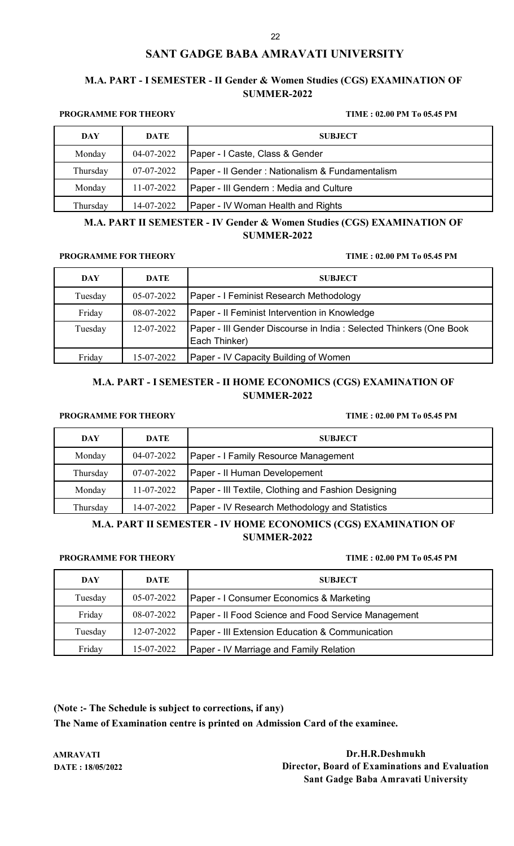## **M.A. PART - I SEMESTER - II Gender & Women Studies (CGS) EXAMINATION OF SUMMER-2022**

### **PROGRAMME FOR THEORY TIME : 02.00 PM To 05.45 PM**

| DAY      | DATE       | <b>SUBJECT</b>                                   |
|----------|------------|--------------------------------------------------|
| Monday   | 04-07-2022 | Paper - I Caste, Class & Gender                  |
| Thursday | 07-07-2022 | Paper - Il Gender : Nationalism & Fundamentalism |
| Monday   | 11-07-2022 | Paper - III Gendern: Media and Culture           |
| Thursday | 14-07-2022 | Paper - IV Woman Health and Rights               |

**M.A. PART II SEMESTER - IV Gender & Women Studies (CGS) EXAMINATION OF SUMMER-2022**

### **PROGRAMME FOR THEORY TIME : 02.00 PM To 05.45 PM**

| <b>DAY</b> | <b>DATE</b> | <b>SUBJECT</b>                                                                      |
|------------|-------------|-------------------------------------------------------------------------------------|
| Tuesday    | 05-07-2022  | Paper - I Feminist Research Methodology                                             |
| Friday     | 08-07-2022  | Paper - Il Feminist Intervention in Knowledge                                       |
| Tuesday    | 12-07-2022  | Paper - III Gender Discourse in India: Selected Thinkers (One Book<br>Each Thinker) |
| Friday     | 15-07-2022  | <b>Paper - IV Capacity Building of Women</b>                                        |

## **M.A. PART - I SEMESTER - II HOME ECONOMICS (CGS) EXAMINATION OF SUMMER-2022**

## **PROGRAMME FOR THEORY TIME : 02.00 PM To 05.45 PM**

| DAY      | <b>DATE</b> | <b>SUBJECT</b>                                      |
|----------|-------------|-----------------------------------------------------|
| Monday   | 04-07-2022  | Paper - I Family Resource Management                |
| Thursday | 07-07-2022  | Paper - Il Human Developement                       |
| Monday   | 11-07-2022  | Paper - III Textile, Clothing and Fashion Designing |
| Thursday | 14-07-2022  | Paper - IV Research Methodology and Statistics      |

## **M.A. PART II SEMESTER - IV HOME ECONOMICS (CGS) EXAMINATION OF SUMMER-2022**

### **PROGRAMME FOR THEORY TIME : 02.00 PM To 05.45 PM**

| DAY     | DATE       | <b>SUBJECT</b>                                      |
|---------|------------|-----------------------------------------------------|
| Tuesday | 05-07-2022 | Paper - I Consumer Economics & Marketing            |
| Friday  | 08-07-2022 | Paper - Il Food Science and Food Service Management |
| Tuesday | 12-07-2022 | Paper - III Extension Education & Communication     |
| Friday  | 15-07-2022 | Paper - IV Marriage and Family Relation             |

**(Note :- The Schedule is subject to corrections, if any)**

**The Name of Examination centre is printed on Admission Card of the examinee.**

**AMRAVATI Dr.H.R.Deshmukh DATE : 18/05/2022 Director, Board of Examinations and Evaluation Sant Gadge Baba Amravati University**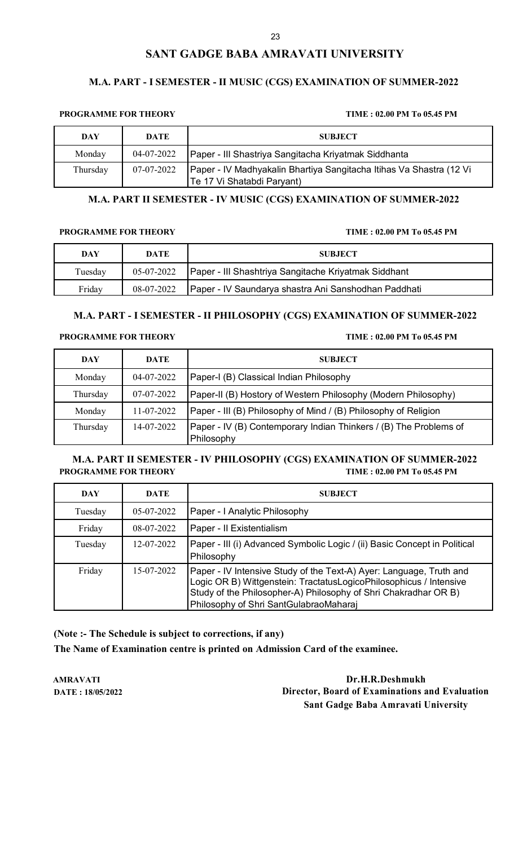## **M.A. PART - I SEMESTER - II MUSIC (CGS) EXAMINATION OF SUMMER-2022**

### **PROGRAMME FOR THEORY TIME : 02.00 PM To 05.45 PM**

| DAY      | DATE       | <b>SUBJECT</b>                                                                                    |
|----------|------------|---------------------------------------------------------------------------------------------------|
| Monday   | 04-07-2022 | Paper - III Shastriya Sangitacha Kriyatmak Siddhanta                                              |
| Thursday | 07-07-2022 | Paper - IV Madhyakalin Bhartiya Sangitacha Itihas Va Shastra (12 Vi<br>Te 17 Vi Shatabdi Paryant) |

### **M.A. PART II SEMESTER - IV MUSIC (CGS) EXAMINATION OF SUMMER-2022**

### **PROGRAMME FOR THEORY TIME : 02.00 PM To 05.45 PM**

| DAY     | <b>DATE</b> | <b>SUBJECT</b>                                       |
|---------|-------------|------------------------------------------------------|
| Tuesday | 05-07-2022  | Paper - III Shashtriya Sangitache Kriyatmak Siddhant |
| Fridav  | 08-07-2022  | Paper - IV Saundarya shastra Ani Sanshodhan Paddhati |

## **M.A. PART - I SEMESTER - II PHILOSOPHY (CGS) EXAMINATION OF SUMMER-2022**

### **PROGRAMME FOR THEORY TIME : 02.00 PM To 05.45 PM**

| <b>DAY</b> | DATE       | <b>SUBJECT</b>                                                                  |
|------------|------------|---------------------------------------------------------------------------------|
| Monday     | 04-07-2022 | Paper-I (B) Classical Indian Philosophy                                         |
| Thursday   | 07-07-2022 | Paper-II (B) Hostory of Western Philosophy (Modern Philosophy)                  |
| Monday     | 11-07-2022 | Paper - III (B) Philosophy of Mind / (B) Philosophy of Religion                 |
| Thursday   | 14-07-2022 | Paper - IV (B) Contemporary Indian Thinkers / (B) The Problems of<br>Philosophy |

## **M.A. PART II SEMESTER - IV PHILOSOPHY (CGS) EXAMINATION OF SUMMER-2022 PROGRAMME FOR THEORY TIME : 02.00 PM To 05.45 PM**

| <b>DAY</b> | <b>DATE</b> | <b>SUBJECT</b>                                                                                                                                                                                                                                         |
|------------|-------------|--------------------------------------------------------------------------------------------------------------------------------------------------------------------------------------------------------------------------------------------------------|
| Tuesday    | 05-07-2022  | Paper - I Analytic Philosophy                                                                                                                                                                                                                          |
| Friday     | 08-07-2022  | Paper - Il Existentialism                                                                                                                                                                                                                              |
| Tuesday    | 12-07-2022  | Paper - III (i) Advanced Symbolic Logic / (ii) Basic Concept in Political<br>Philosophy                                                                                                                                                                |
| Friday     | 15-07-2022  | Paper - IV Intensive Study of the Text-A) Ayer: Language, Truth and<br>Logic OR B) Wittgenstein: TractatusLogicoPhilosophicus / Intensive<br>Study of the Philosopher-A) Philosophy of Shri Chakradhar OR B)<br>Philosophy of Shri SantGulabraoMaharaj |

**(Note :- The Schedule is subject to corrections, if any) The Name of Examination centre is printed on Admission Card of the examinee.**

**AMRAVATI Dr.H.R.Deshmukh DATE : 18/05/2022 Director, Board of Examinations and Evaluation Sant Gadge Baba Amravati University**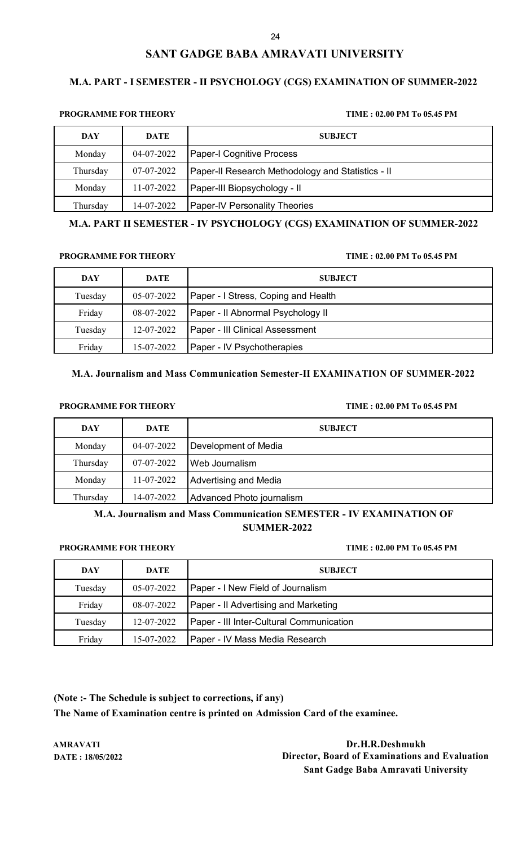### **M.A. PART - I SEMESTER - II PSYCHOLOGY (CGS) EXAMINATION OF SUMMER-2022**

### **PROGRAMME FOR THEORY TIME : 02.00 PM To 05.45 PM**

| DAY      | <b>DATE</b> | <b>SUBJECT</b>                                    |
|----------|-------------|---------------------------------------------------|
| Monday   | 04-07-2022  | <b>Paper-I Cognitive Process</b>                  |
| Thursday | 07-07-2022  | Paper-II Research Methodology and Statistics - II |
| Monday   | 11-07-2022  | Paper-III Biopsychology - II                      |
| Thursday | 14-07-2022  | <b>Paper-IV Personality Theories</b>              |

### **M.A. PART II SEMESTER - IV PSYCHOLOGY (CGS) EXAMINATION OF SUMMER-2022**

### **PROGRAMME FOR THEORY TIME : 02.00 PM To 05.45 PM**

| DAY     | DATE       | <b>SUBJECT</b>                      |
|---------|------------|-------------------------------------|
| Tuesday | 05-07-2022 | Paper - I Stress, Coping and Health |
| Friday  | 08-07-2022 | Paper - Il Abnormal Psychology II   |
| Tuesday | 12-07-2022 | Paper - III Clinical Assessment     |
| Friday  | 15-07-2022 | Paper - IV Psychotherapies          |

## **M.A. Journalism and Mass Communication Semester-II EXAMINATION OF SUMMER-2022**

### **PROGRAMME FOR THEORY TIME : 02.00 PM To 05.45 PM**

| DAY      | DATE       | <b>SUBJECT</b>            |
|----------|------------|---------------------------|
| Monday   | 04-07-2022 | Development of Media      |
| Thursday | 07-07-2022 | Web Journalism            |
| Monday   | 11-07-2022 | Advertising and Media     |
| Thursday | 14-07-2022 | Advanced Photo journalism |

## **M.A. Journalism and Mass Communication SEMESTER - IV EXAMINATION OF SUMMER-2022**

## **PROGRAMME FOR THEORY TIME : 02.00 PM To 05.45 PM**

| DAY     | DATE       | <b>SUBJECT</b>                           |
|---------|------------|------------------------------------------|
| Tuesday | 05-07-2022 | Paper - I New Field of Journalism        |
| Friday  | 08-07-2022 | Paper - II Advertising and Marketing     |
| Tuesday | 12-07-2022 | Paper - III Inter-Cultural Communication |
| Friday  | 15-07-2022 | Paper - IV Mass Media Research           |

**(Note :- The Schedule is subject to corrections, if any) The Name of Examination centre is printed on Admission Card of the examinee.**

**AMRAVATI Dr.H.R.Deshmukh DATE : 18/05/2022 Director, Board of Examinations and Evaluation Sant Gadge Baba Amravati University**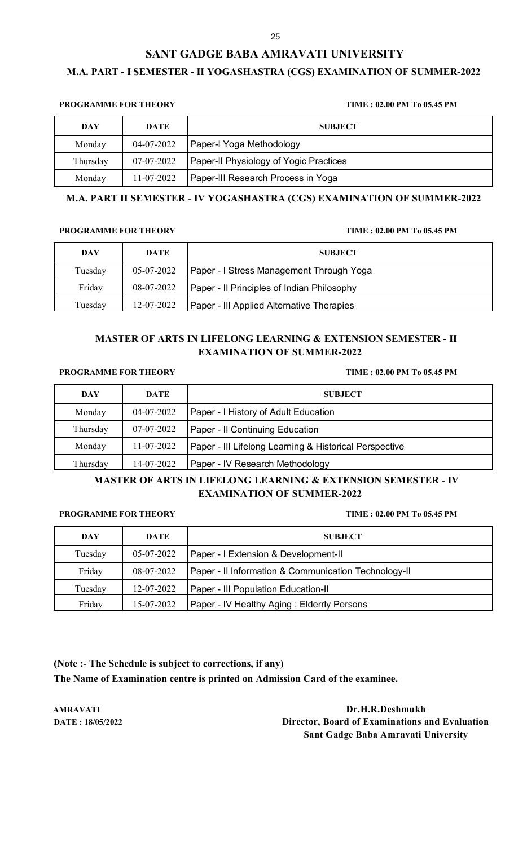## **M.A. PART - I SEMESTER - II YOGASHASTRA (CGS) EXAMINATION OF SUMMER-2022**

## **PROGRAMME FOR THEORY TIME : 02.00 PM To 05.45 PM**

| DAY      | DATE       | <b>SUBJECT</b>                                |
|----------|------------|-----------------------------------------------|
| Monday   | 04-07-2022 | Paper-I Yoga Methodology                      |
| Thursday | 07-07-2022 | <b>Paper-Il Physiology of Yogic Practices</b> |
| Monday   | 11-07-2022 | Paper-III Research Process in Yoga            |

## **M.A. PART II SEMESTER - IV YOGASHASTRA (CGS) EXAMINATION OF SUMMER-2022**

### **PROGRAMME FOR THEORY TIME : 02.00 PM To 05.45 PM**

| <b>DAY</b> | DATE       | <b>SUBJECT</b>                             |
|------------|------------|--------------------------------------------|
| Tuesday    | 05-07-2022 | Paper - I Stress Management Through Yoga   |
| Friday     | 08-07-2022 | Paper - Il Principles of Indian Philosophy |
| Tuesday    | 12-07-2022 | Paper - III Applied Alternative Therapies  |

## **MASTER OF ARTS IN LIFELONG LEARNING & EXTENSION SEMESTER - II EXAMINATION OF SUMMER-2022**

### **PROGRAMME FOR THEORY TIME : 02.00 PM To 05.45 PM**

| <b>DAY</b> | <b>DATE</b> | <b>SUBJECT</b>                                                    |
|------------|-------------|-------------------------------------------------------------------|
| Monday     | 04-07-2022  | Paper - I History of Adult Education                              |
| Thursday   | 07-07-2022  | Paper - Il Continuing Education                                   |
| Monday     | 11-07-2022  | <b>Paper - III Lifelong Learning &amp; Historical Perspective</b> |
| Thursday   | 14-07-2022  | Paper - IV Research Methodology                                   |

## **MASTER OF ARTS IN LIFELONG LEARNING & EXTENSION SEMESTER - IV EXAMINATION OF SUMMER-2022**

### **PROGRAMME FOR THEORY TIME : 02.00 PM To 05.45 PM**

| DAY     | <b>DATE</b> | <b>SUBJECT</b>                                       |
|---------|-------------|------------------------------------------------------|
| Tuesday | 05-07-2022  | Paper - I Extension & Development-II                 |
| Friday  | 08-07-2022  | Paper - Il Information & Communication Technology-II |
| Tuesday | 12-07-2022  | <b>Paper - III Population Education-II</b>           |
| Friday  | 15-07-2022  | <b>Paper - IV Healthy Aging: Elderrly Persons</b>    |

**(Note :- The Schedule is subject to corrections, if any) The Name of Examination centre is printed on Admission Card of the examinee.**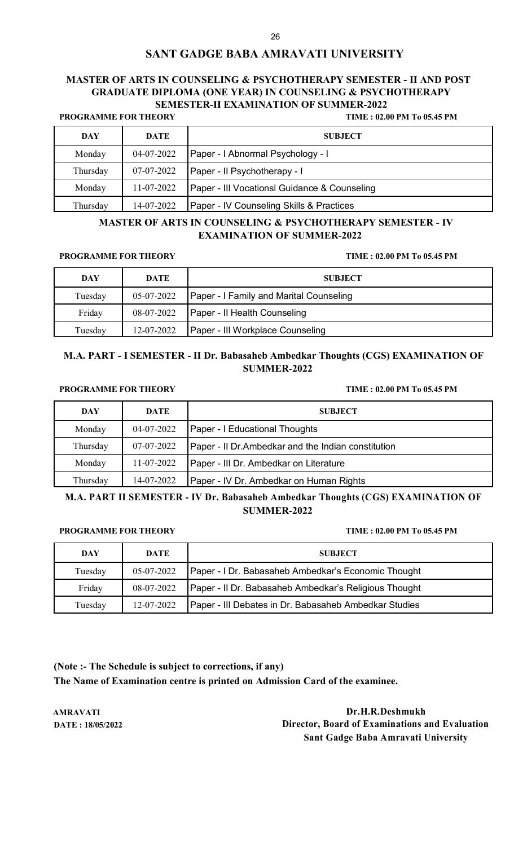## **MASTER OF ARTS IN COUNSELING & PSYCHOTHERAPY SEMESTER - II AND POST GRADUATE DIPLOMA (ONE YEAR) IN COUNSELING & PSYCHOTHERAPY SEMESTER-II EXAMINATION OF SUMMER-2022**

**PROGRAMME FOR THEORY TIME : 02.00 PM To 05.45 PM**

| DAY      | DATE             | <b>SUBJECT</b>                                      |
|----------|------------------|-----------------------------------------------------|
| Monday   | 04-07-2022       | Paper - I Abnormal Psychology - I                   |
| Thursday | 07-07-2022       | Paper - Il Psychotherapy - I                        |
| Monday   | $11 - 07 - 2022$ | Paper - III Vocationsl Guidance & Counseling        |
| Thursday | 14-07-2022       | <b>Paper - IV Counseling Skills &amp; Practices</b> |

## **MASTER OF ARTS IN COUNSELING & PSYCHOTHERAPY SEMESTER - IV EXAMINATION OF SUMMER-2022**

### **PROGRAMME FOR THEORY TIME : 02.00 PM To 05.45 PM**

| DAY     | DATE       | <b>SUBJECT</b>                          |
|---------|------------|-----------------------------------------|
| Tuesday | 05-07-2022 | Paper - I Family and Marital Counseling |
| Friday  | 08-07-2022 | Paper - Il Health Counseling            |
| Tuesday | 12-07-2022 | <b>Paper - III Workplace Counseling</b> |

## **M.A. PART - I SEMESTER - II Dr. Babasaheb Ambedkar Thoughts (CGS) EXAMINATION OF SUMMER-2022**

### **PROGRAMME FOR THEORY TIME : 02.00 PM To 05.45 PM**

| <b>DAY</b> | DATE       | <b>SUBJECT</b>                                      |
|------------|------------|-----------------------------------------------------|
| Monday     | 04-07-2022 | <b>Paper - I Educational Thoughts</b>               |
| Thursday   | 07-07-2022 | Paper - Il Dr. Ambedkar and the Indian constitution |
| Monday     | 11-07-2022 | Paper - III Dr. Ambedkar on Literature              |
| Thursday   | 14-07-2022 | Paper - IV Dr. Ambedkar on Human Rights             |

**M.A. PART II SEMESTER - IV Dr. Babasaheb Ambedkar Thoughts (CGS) EXAMINATION OF SUMMER-2022**

**PROGRAMME FOR THEORY TIME : 02.00 PM To 05.45 PM**

| DAY     | DATE       | <b>SUBJECT</b>                                        |
|---------|------------|-------------------------------------------------------|
| Tuesday | 05-07-2022 | Paper - I Dr. Babasaheb Ambedkar's Economic Thought   |
| Friday  | 08-07-2022 | Paper - Il Dr. Babasaheb Ambedkar's Religious Thought |
| Tuesday | 12-07-2022 | Paper - III Debates in Dr. Babasaheb Ambedkar Studies |

**(Note :- The Schedule is subject to corrections, if any) The Name of Examination centre is printed on Admission Card of the examinee.**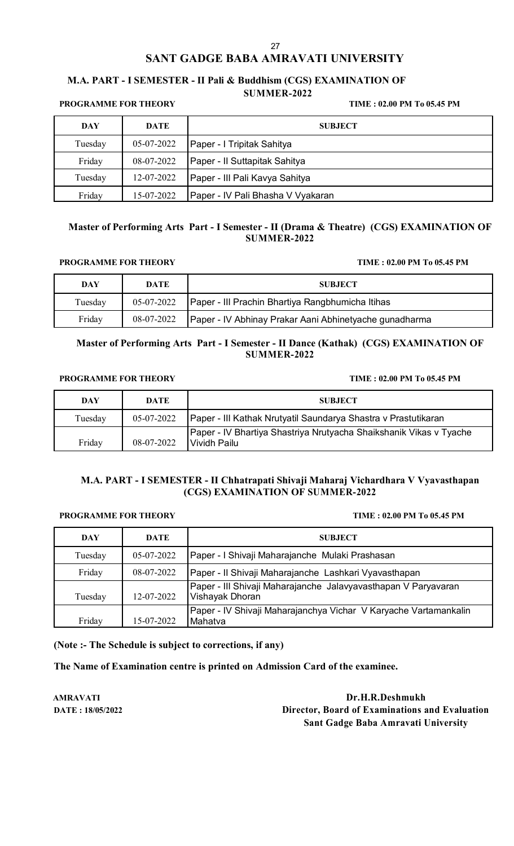### **M.A. PART - I SEMESTER - II Pali & Buddhism (CGS) EXAMINATION OF SUMMER-2022**

**PROGRAMME FOR THEORY TIME : 02.00 PM To 05.45 PM**

| DAY     | DATE       | <b>SUBJECT</b>                    |
|---------|------------|-----------------------------------|
| Tuesday | 05-07-2022 | Paper - I Tripitak Sahitya        |
| Friday  | 08-07-2022 | Paper - Il Suttapitak Sahitya     |
| Tuesday | 12-07-2022 | Paper - III Pali Kavya Sahitya    |
| Friday  | 15-07-2022 | Paper - IV Pali Bhasha V Vyakaran |

## **Master of Performing Arts Part - I Semester - II (Drama & Theatre) (CGS) EXAMINATION OF SUMMER-2022**

### PROGRAMME FOR THEORY TIME : 02.00 PM To 05.45 PM

| DAY     | DATE       | <b>SUBJECT</b>                                         |
|---------|------------|--------------------------------------------------------|
| Tuesday | 05-07-2022 | Paper - III Prachin Bhartiya Rangbhumicha Itihas       |
| Friday  | 08-07-2022 | Paper - IV Abhinay Prakar Aani Abhinetyache gunadharma |

## **Master of Performing Arts Part - I Semester - II Dance (Kathak) (CGS) EXAMINATION OF SUMMER-2022**

### PROGRAMME FOR THEORY TIME : 02.00 PM To 05.45 PM

| DAY     | DATE       | <b>SUBJECT</b>                                                                       |
|---------|------------|--------------------------------------------------------------------------------------|
| Tuesday | 05-07-2022 | Paper - III Kathak Nrutyatil Saundarya Shastra v Prastutikaran                       |
| Friday  | 08-07-2022 | Paper - IV Bhartiya Shastriya Nrutyacha Shaikshanik Vikas v Tyache<br>I Vividh Pailu |

## **M.A. PART - I SEMESTER - II Chhatrapati Shivaji Maharaj Vichardhara V Vyavasthapan (CGS) EXAMINATION OF SUMMER-2022**

### PROGRAMME FOR THEORY TIME : 02.00 PM To 05.45 PM

| DAY     | DATE       | <b>SUBJECT</b>                                                                    |
|---------|------------|-----------------------------------------------------------------------------------|
| Tuesday | 05-07-2022 | Paper - I Shivaji Maharajanche Mulaki Prashasan                                   |
| Friday  | 08-07-2022 | Paper - Il Shivaji Maharajanche Lashkari Vyavasthapan                             |
| Tuesday | 12-07-2022 | Paper - III Shivaji Maharajanche Jalavyavasthapan V Paryavaran<br>Vishayak Dhoran |
| Friday  | 15-07-2022 | Paper - IV Shivaji Maharajanchya Vichar V Karyache Vartamankalin<br>Mahatva       |

**(Note :- The Schedule is subject to corrections, if any)**

**The Name of Examination centre is printed on Admission Card of the examinee.**

**AMRAVATI Dr.H.R.Deshmukh DATE : 18/05/2022 Director, Board of Examinations and Evaluation Sant Gadge Baba Amravati University**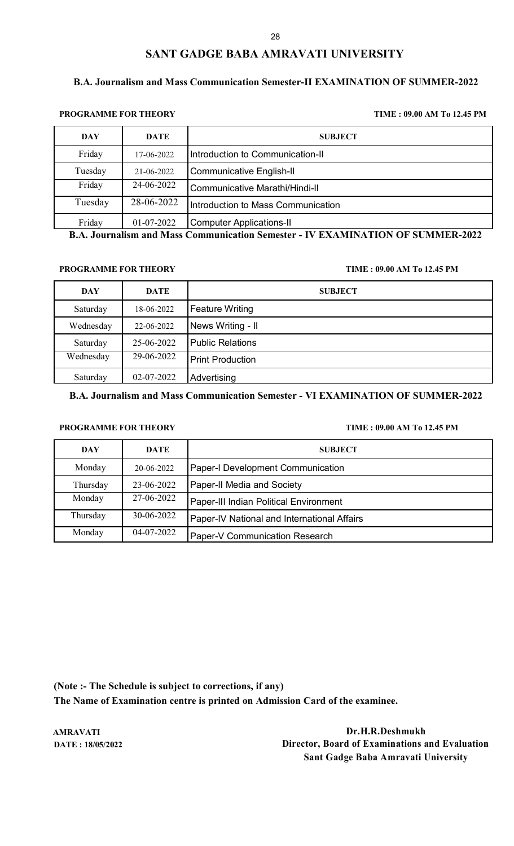## **B.A. Journalism and Mass Communication Semester-II EXAMINATION OF SUMMER-2022**

**PROGRAMME FOR THEORY TIME : 09.00 AM To 12.45 PM**

| <b>DAY</b> | <b>DATE</b> | <b>SUBJECT</b>                     |
|------------|-------------|------------------------------------|
| Friday     | 17-06-2022  | Introduction to Communication-II   |
| Tuesday    | 21-06-2022  | <b>Communicative English-II</b>    |
| Friday     | 24-06-2022  | Communicative Marathi/Hindi-II     |
| Tuesday    | 28-06-2022  | Introduction to Mass Communication |
| Friday     | 01-07-2022  | <b>Computer Applications-II</b>    |

**B.A. Journalism and Mass Communication Semester - IV EXAMINATION OF SUMMER-2022**

**PROGRAMME FOR THEORY TIME : 09.00 AM To 12.45 PM**

| <b>DAY</b> | <b>DATE</b> | <b>SUBJECT</b>          |
|------------|-------------|-------------------------|
| Saturday   | 18-06-2022  | <b>Feature Writing</b>  |
| Wednesday  | 22-06-2022  | News Writing - II       |
| Saturday   | 25-06-2022  | <b>Public Relations</b> |
| Wednesday  | 29-06-2022  | <b>Print Production</b> |
| Saturday   | 02-07-2022  | Advertising             |

**B.A. Journalism and Mass Communication Semester - VI EXAMINATION OF SUMMER-2022**

## **PROGRAMME FOR THEORY TIME : 09.00 AM To 12.45 PM**

| DAY      | <b>DATE</b> | <b>SUBJECT</b>                              |
|----------|-------------|---------------------------------------------|
| Monday   | 20-06-2022  | Paper-I Development Communication           |
| Thursday | 23-06-2022  | Paper-II Media and Society                  |
| Monday   | 27-06-2022  | Paper-III Indian Political Environment      |
| Thursday | 30-06-2022  | Paper-IV National and International Affairs |
| Monday   | 04-07-2022  | Paper-V Communication Research              |

**(Note :- The Schedule is subject to corrections, if any) The Name of Examination centre is printed on Admission Card of the examinee.**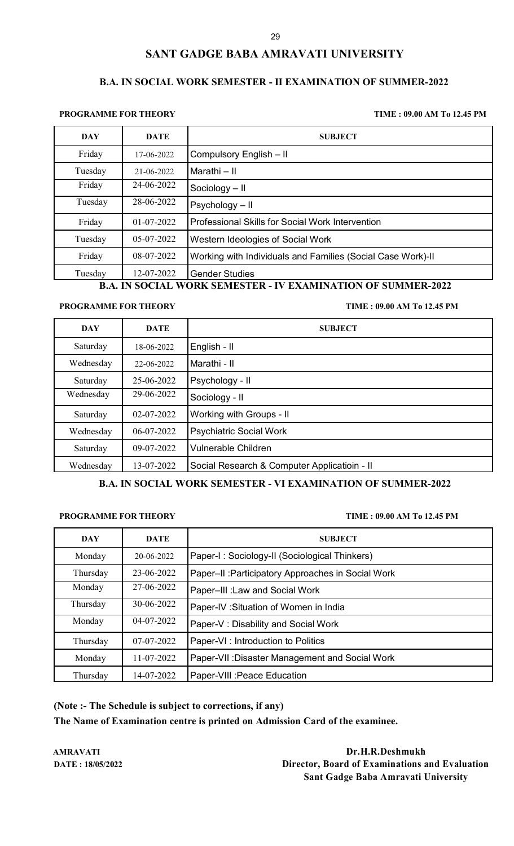## **B.A. IN SOCIAL WORK SEMESTER - II EXAMINATION OF SUMMER-2022**

### **PROGRAMME FOR THEORY TIME : 09.00 AM To 12.45 PM**

| DAY     | DATE         | <b>SUBJECT</b>                                                                            |
|---------|--------------|-------------------------------------------------------------------------------------------|
| Friday  | 17-06-2022   | Compulsory English - II                                                                   |
| Tuesday | 21-06-2022   | Marathi – II                                                                              |
| Friday  | 24-06-2022   | Sociology - II                                                                            |
| Tuesday | 28-06-2022   | Psychology - II                                                                           |
| Friday  | $01-07-2022$ | Professional Skills for Social Work Intervention                                          |
| Tuesday | 05-07-2022   | Western Ideologies of Social Work                                                         |
| Friday  | 08-07-2022   | Working with Individuals and Families (Social Case Work)-II                               |
| Tuesday | 12-07-2022   | <b>Gender Studies</b><br>IV BY LUID' LINOV AR SIN A LED AGAA<br>IN COOLLY WORLD CENTROPED |

**B.A. IN SOCIAL WORK SEMESTER - IV EXAMINATION OF SUMMER-2022**

### **PROGRAMME FOR THEORY TIME : 09.00 AM To 12.45 PM**

| <b>DAY</b> | <b>DATE</b> | <b>SUBJECT</b>                               |
|------------|-------------|----------------------------------------------|
| Saturday   | 18-06-2022  | English - II                                 |
| Wednesday  | 22-06-2022  | Marathi - II                                 |
| Saturday   | 25-06-2022  | Psychology - II                              |
| Wednesday  | 29-06-2022  | Sociology - II                               |
| Saturday   | 02-07-2022  | Working with Groups - II                     |
| Wednesday  | 06-07-2022  | <b>Psychiatric Social Work</b>               |
| Saturday   | 09-07-2022  | <b>Vulnerable Children</b>                   |
| Wednesday  | 13-07-2022  | Social Research & Computer Applicatioin - II |

## **B.A. IN SOCIAL WORK SEMESTER - VI EXAMINATION OF SUMMER-2022**

### **PROGRAMME FOR THEORY TIME : 09.00 AM To 12.45 PM**

| <b>DAY</b> | <b>DATE</b> | <b>SUBJECT</b>                                     |
|------------|-------------|----------------------------------------------------|
| Monday     | 20-06-2022  | Paper-I: Sociology-II (Sociological Thinkers)      |
| Thursday   | 23-06-2022  | Paper-II : Participatory Approaches in Social Work |
| Monday     | 27-06-2022  | Paper-III : Law and Social Work                    |
| Thursday   | 30-06-2022  | Paper-IV : Situation of Women in India             |
| Monday     | 04-07-2022  | Paper-V: Disability and Social Work                |
| Thursday   | 07-07-2022  | Paper-VI : Introduction to Politics                |
| Monday     | 11-07-2022  | Paper-VII : Disaster Management and Social Work    |
| Thursday   | 14-07-2022  | Paper-VIII : Peace Education                       |

**(Note :- The Schedule is subject to corrections, if any)**

**The Name of Examination centre is printed on Admission Card of the examinee.**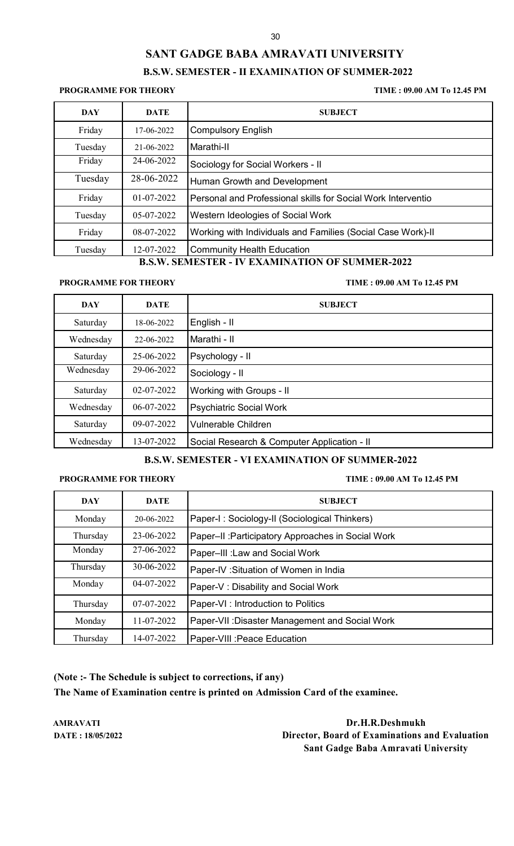### 30

# **SANT GADGE BABA AMRAVATI UNIVERSITY**

## **B.S.W. SEMESTER - II EXAMINATION OF SUMMER-2022**

### **PROGRAMME FOR THEORY TIME : 09.00 AM To 12.45 PM**

| <b>DAY</b> | <b>DATE</b> | <b>SUBJECT</b>                                               |
|------------|-------------|--------------------------------------------------------------|
| Friday     | 17-06-2022  | <b>Compulsory English</b>                                    |
| Tuesday    | 21-06-2022  | Marathi-II                                                   |
| Friday     | 24-06-2022  | Sociology for Social Workers - II                            |
| Tuesday    | 28-06-2022  | Human Growth and Development                                 |
| Friday     | 01-07-2022  | Personal and Professional skills for Social Work Interventio |
| Tuesday    | 05-07-2022  | Western Ideologies of Social Work                            |
| Friday     | 08-07-2022  | Working with Individuals and Families (Social Case Work)-II  |
| Tuesday    | 12-07-2022  | <b>Community Health Education</b>                            |

## **B.S.W. SEMESTER - IV EXAMINATION OF SUMMER-2022**

**PROGRAMME FOR THEORY TIME : 09.00 AM To 12.45 PM**

| <b>DAY</b> | <b>DATE</b> | <b>SUBJECT</b>                              |
|------------|-------------|---------------------------------------------|
| Saturday   | 18-06-2022  | English - II                                |
| Wednesday  | 22-06-2022  | Marathi - II                                |
| Saturday   | 25-06-2022  | Psychology - II                             |
| Wednesday  | 29-06-2022  | Sociology - II                              |
| Saturday   | 02-07-2022  | Working with Groups - II                    |
| Wednesday  | 06-07-2022  | <b>Psychiatric Social Work</b>              |
| Saturday   | 09-07-2022  | Vulnerable Children                         |
| Wednesday  | 13-07-2022  | Social Research & Computer Application - II |

## **B.S.W. SEMESTER - VI EXAMINATION OF SUMMER-2022**

### **PROGRAMME FOR THEORY TIME : 09.00 AM To 12.45 PM**

| <b>DAY</b> | <b>DATE</b> | <b>SUBJECT</b>                                     |
|------------|-------------|----------------------------------------------------|
| Monday     | 20-06-2022  | Paper-I: Sociology-II (Sociological Thinkers)      |
| Thursday   | 23-06-2022  | Paper-II : Participatory Approaches in Social Work |
| Monday     | 27-06-2022  | Paper-III : Law and Social Work                    |
| Thursday   | 30-06-2022  | Paper-IV: Situation of Women in India              |
| Monday     | 04-07-2022  | Paper-V: Disability and Social Work                |
| Thursday   | 07-07-2022  | Paper-VI : Introduction to Politics                |
| Monday     | 11-07-2022  | Paper-VII : Disaster Management and Social Work    |
| Thursday   | 14-07-2022  | Paper-VIII : Peace Education                       |

**(Note :- The Schedule is subject to corrections, if any) The Name of Examination centre is printed on Admission Card of the examinee.**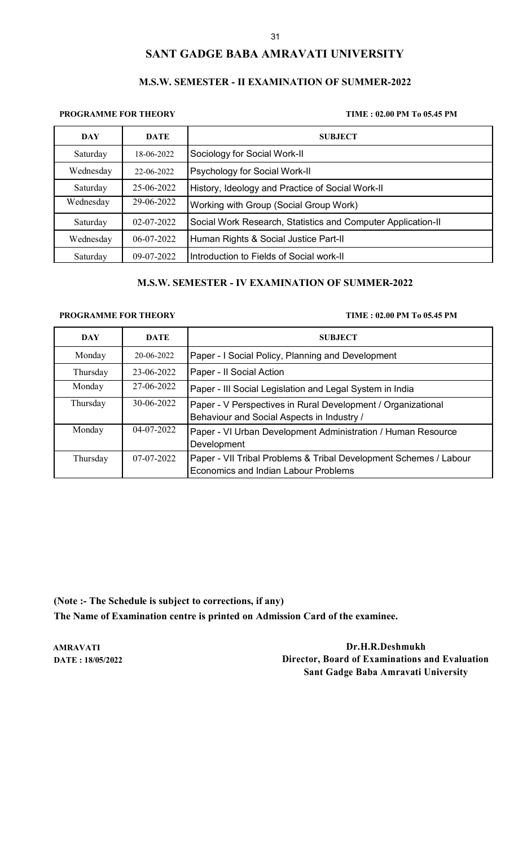## **M.S.W. SEMESTER - II EXAMINATION OF SUMMER-2022**

### **PROGRAMME FOR THEORY TIME : 02.00 PM To 05.45 PM**

| DAY       | <b>DATE</b>      | <b>SUBJECT</b>                                               |
|-----------|------------------|--------------------------------------------------------------|
| Saturday  | 18-06-2022       | Sociology for Social Work-II                                 |
| Wednesday | 22-06-2022       | <b>Psychology for Social Work-II</b>                         |
| Saturday  | 25-06-2022       | History, Ideology and Practice of Social Work-II             |
| Wednesday | 29-06-2022       | Working with Group (Social Group Work)                       |
| Saturday  | $02 - 07 - 2022$ | Social Work Research, Statistics and Computer Application-II |
| Wednesday | 06-07-2022       | Human Rights & Social Justice Part-II                        |
| Saturday  | 09-07-2022       | Introduction to Fields of Social work-II                     |

## **M.S.W. SEMESTER - IV EXAMINATION OF SUMMER-2022**

### **PROGRAMME FOR THEORY TIME : 02.00 PM To 05.45 PM**

| DAY      | <b>DATE</b>      | <b>SUBJECT</b>                                                                                             |
|----------|------------------|------------------------------------------------------------------------------------------------------------|
| Monday   | 20-06-2022       | Paper - I Social Policy, Planning and Development                                                          |
| Thursday | 23-06-2022       | Paper - Il Social Action                                                                                   |
| Monday   | 27-06-2022       | Paper - III Social Legislation and Legal System in India                                                   |
| Thursday | 30-06-2022       | Paper - V Perspectives in Rural Development / Organizational<br>Behaviour and Social Aspects in Industry / |
| Monday   | $04 - 07 - 2022$ | Paper - VI Urban Development Administration / Human Resource<br>Development                                |
| Thursday | 07-07-2022       | Paper - VII Tribal Problems & Tribal Development Schemes / Labour<br>Economics and Indian Labour Problems  |

**(Note :- The Schedule is subject to corrections, if any) The Name of Examination centre is printed on Admission Card of the examinee.**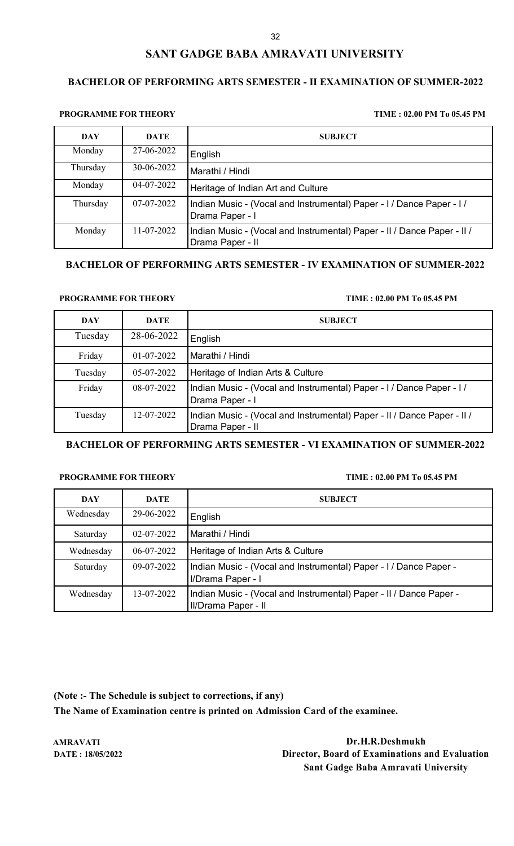## **BACHELOR OF PERFORMING ARTS SEMESTER - II EXAMINATION OF SUMMER-2022**

### **PROGRAMME FOR THEORY TIME : 02.00 PM To 05.45 PM**

| <b>DAY</b> | <b>DATE</b> | <b>SUBJECT</b>                                                                              |
|------------|-------------|---------------------------------------------------------------------------------------------|
| Monday     | 27-06-2022  | English                                                                                     |
| Thursday   | 30-06-2022  | Marathi / Hindi                                                                             |
| Monday     | 04-07-2022  | Heritage of Indian Art and Culture                                                          |
| Thursday   | 07-07-2022  | Indian Music - (Vocal and Instrumental) Paper - I / Dance Paper - I /<br>Drama Paper - I    |
| Monday     | 11-07-2022  | Indian Music - (Vocal and Instrumental) Paper - II / Dance Paper - II /<br>Drama Paper - II |

## **BACHELOR OF PERFORMING ARTS SEMESTER - IV EXAMINATION OF SUMMER-2022**

### **PROGRAMME FOR THEORY TIME : 02.00 PM To 05.45 PM**

| <b>DAY</b> | <b>DATE</b>  | <b>SUBJECT</b>                                                                              |
|------------|--------------|---------------------------------------------------------------------------------------------|
| Tuesday    | 28-06-2022   | English                                                                                     |
| Friday     | $01-07-2022$ | Marathi / Hindi                                                                             |
| Tuesday    | 05-07-2022   | Heritage of Indian Arts & Culture                                                           |
| Friday     | 08-07-2022   | Indian Music - (Vocal and Instrumental) Paper - I / Dance Paper - I /<br>Drama Paper - I    |
| Tuesday    | 12-07-2022   | Indian Music - (Vocal and Instrumental) Paper - II / Dance Paper - II /<br>Drama Paper - II |

### **BACHELOR OF PERFORMING ARTS SEMESTER - VI EXAMINATION OF SUMMER-2022**

### **PROGRAMME FOR THEORY TIME : 02.00 PM To 05.45 PM**

| DAY       | <b>DATE</b>      | <b>SUBJECT</b>                                                                            |
|-----------|------------------|-------------------------------------------------------------------------------------------|
| Wednesday | 29-06-2022       | English                                                                                   |
| Saturday  | $02 - 07 - 2022$ | Marathi / Hindi                                                                           |
| Wednesday | 06-07-2022       | Heritage of Indian Arts & Culture                                                         |
| Saturday  | 09-07-2022       | Indian Music - (Vocal and Instrumental) Paper - I / Dance Paper -<br>I/Drama Paper - I    |
| Wednesday | 13-07-2022       | Indian Music - (Vocal and Instrumental) Paper - II / Dance Paper -<br>II/Drama Paper - II |

**(Note :- The Schedule is subject to corrections, if any) The Name of Examination centre is printed on Admission Card of the examinee.**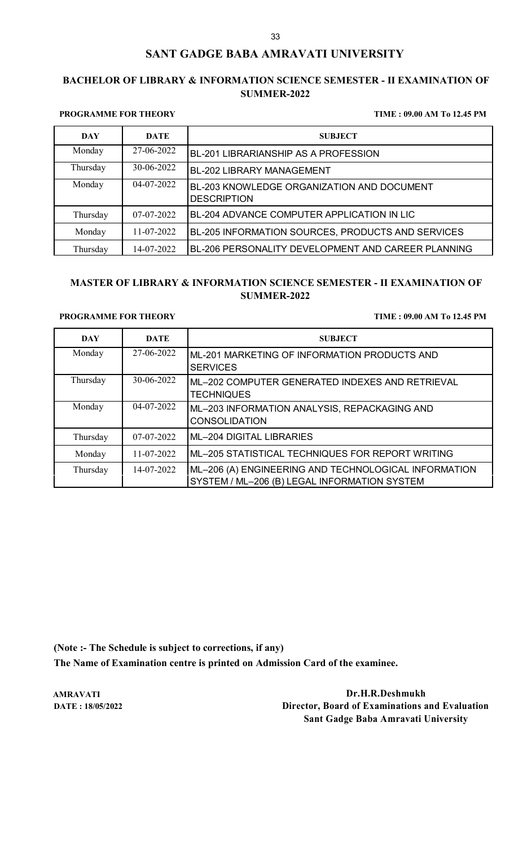## **BACHELOR OF LIBRARY & INFORMATION SCIENCE SEMESTER - II EXAMINATION OF SUMMER-2022**

### **PROGRAMME FOR THEORY TIME : 09.00 AM To 12.45 PM**

| <b>DAY</b> | <b>DATE</b> | <b>SUBJECT</b>                                                   |
|------------|-------------|------------------------------------------------------------------|
| Monday     | 27-06-2022  | BL-201 LIBRARIANSHIP AS A PROFESSION                             |
| Thursday   | 30-06-2022  | <b>BL-202 LIBRARY MANAGEMENT</b>                                 |
| Monday     | 04-07-2022  | BL-203 KNOWLEDGE ORGANIZATION AND DOCUMENT<br><b>DESCRIPTION</b> |
| Thursday   | 07-07-2022  | BL-204 ADVANCE COMPUTER APPLICATION IN LIC                       |
| Monday     | 11-07-2022  | BL-205 INFORMATION SOURCES, PRODUCTS AND SERVICES                |
| Thursday   | 14-07-2022  | BL-206 PERSONALITY DEVELOPMENT AND CAREER PLANNING               |

## **MASTER OF LIBRARY & INFORMATION SCIENCE SEMESTER - II EXAMINATION OF SUMMER-2022**

### **PROGRAMME FOR THEORY TIME : 09.00 AM To 12.45 PM**

| <b>DAY</b> | <b>DATE</b> | <b>SUBJECT</b>                                                                                       |
|------------|-------------|------------------------------------------------------------------------------------------------------|
| Monday     | 27-06-2022  | ML-201 MARKETING OF INFORMATION PRODUCTS AND<br><b>SERVICES</b>                                      |
| Thursday   | 30-06-2022  | ML-202 COMPUTER GENERATED INDEXES AND RETRIEVAL<br><b>TECHNIQUES</b>                                 |
| Monday     | 04-07-2022  | ML-203 INFORMATION ANALYSIS, REPACKAGING AND<br><b>CONSOLIDATION</b>                                 |
| Thursday   | 07-07-2022  | <b>ML-204 DIGITAL LIBRARIES</b>                                                                      |
| Monday     | 11-07-2022  | ML-205 STATISTICAL TECHNIQUES FOR REPORT WRITING                                                     |
| Thursday   | 14-07-2022  | ML-206 (A) ENGINEERING AND TECHNOLOGICAL INFORMATION<br>SYSTEM / ML-206 (B) LEGAL INFORMATION SYSTEM |

**(Note :- The Schedule is subject to corrections, if any) The Name of Examination centre is printed on Admission Card of the examinee.**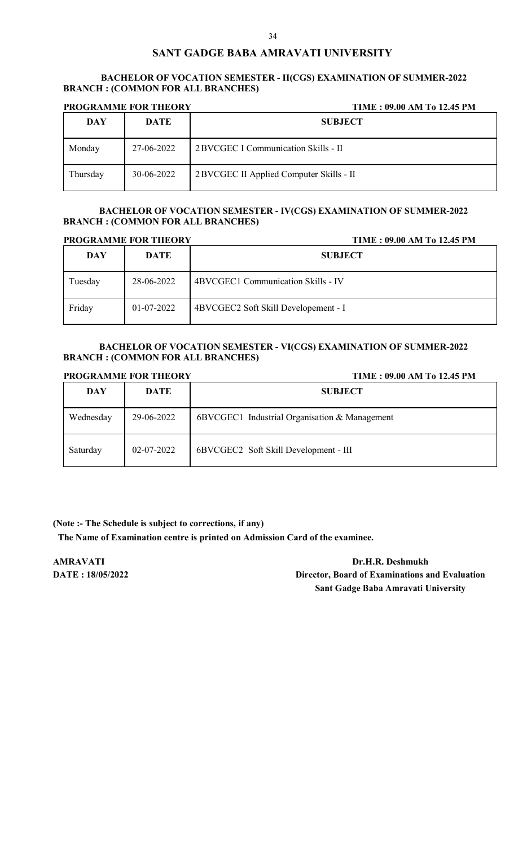### **BACHELOR OF VOCATION SEMESTER - II(CGS) EXAMINATION OF SUMMER-2022 BRANCH : (COMMON FOR ALL BRANCHES)**

| <b>PROGRAMME FOR THEORY</b> |            | TIME: 09.00 AM To 12.45 PM               |
|-----------------------------|------------|------------------------------------------|
| <b>DAY</b>                  | DATE       | <b>SUBJECT</b>                           |
| Monday                      | 27-06-2022 | 2 BVCGEC I Communication Skills - II     |
| Thursday                    | 30-06-2022 | 2 BVCGEC II Applied Computer Skills - II |

### **BACHELOR OF VOCATION SEMESTER - IV(CGS) EXAMINATION OF SUMMER-2022 BRANCH : (COMMON FOR ALL BRANCHES)**

| <b>PROGRAMME FOR THEORY</b> |             | TIME: 09.00 AM To 12.45 PM           |
|-----------------------------|-------------|--------------------------------------|
| DAY                         | <b>DATE</b> | <b>SUBJECT</b>                       |
| Tuesday                     | 28-06-2022  | 4BVCGEC1 Communication Skills - IV   |
| Friday                      | 01-07-2022  | 4BVCGEC2 Soft Skill Developement - I |

## **BACHELOR OF VOCATION SEMESTER - VI(CGS) EXAMINATION OF SUMMER-2022 BRANCH : (COMMON FOR ALL BRANCHES)**

| <b>PROGRAMME FOR THEORY</b> |             | TIME: 09.00 AM To 12.45 PM                    |
|-----------------------------|-------------|-----------------------------------------------|
| DAY                         | <b>DATE</b> | <b>SUBJECT</b>                                |
| Wednesday                   | 29-06-2022  | 6BVCGEC1 Industrial Organisation & Management |
| Saturday                    | 02-07-2022  | 6BVCGEC2 Soft Skill Development - III         |

## **(Note :- The Schedule is subject to corrections, if any)**

**The Name of Examination centre is printed on Admission Card of the examinee.**